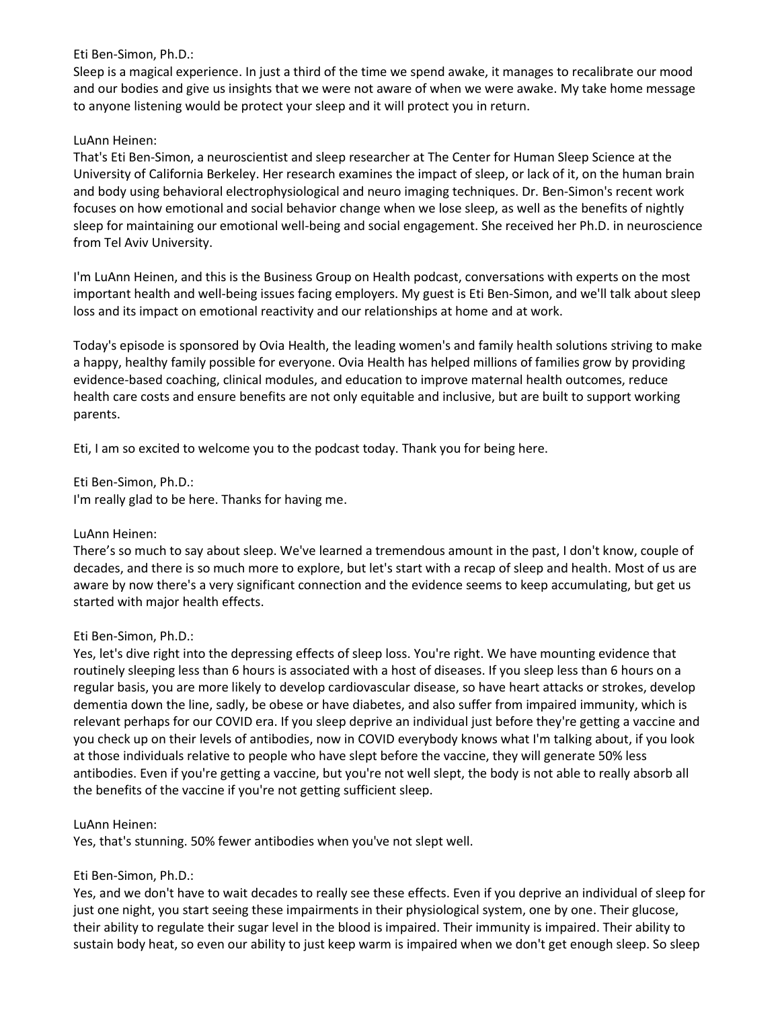Eti Ben-Simon, Ph.D.:

Sleep is a magical experience. In just a third of the time we spend awake, it manages to recalibrate our mood and our bodies and give us insights that we were not aware of when we were awake. My take home message to anyone listening would be protect your sleep and it will protect you in return.

### LuAnn Heinen:

That's Eti Ben-Simon, a neuroscientist and sleep researcher at The Center for Human Sleep Science at the University of California Berkeley. Her research examines the impact of sleep, or lack of it, on the human brain and body using behavioral electrophysiological and neuro imaging techniques. Dr. Ben-Simon's recent work focuses on how emotional and social behavior change when we lose sleep, as well as the benefits of nightly sleep for maintaining our emotional well-being and social engagement. She received her Ph.D. in neuroscience from Tel Aviv University.

I'm LuAnn Heinen, and this is the Business Group on Health podcast, conversations with experts on the most important health and well-being issues facing employers. My guest is Eti Ben-Simon, and we'll talk about sleep loss and its impact on emotional reactivity and our relationships at home and at work.

Today's episode is sponsored by Ovia Health, the leading women's and family health solutions striving to make a happy, healthy family possible for everyone. Ovia Health has helped millions of families grow by providing evidence-based coaching, clinical modules, and education to improve maternal health outcomes, reduce health care costs and ensure benefits are not only equitable and inclusive, but are built to support working parents.

Eti, I am so excited to welcome you to the podcast today. Thank you for being here.

Eti Ben-Simon, Ph.D.:

I'm really glad to be here. Thanks for having me.

### LuAnn Heinen:

There's so much to say about sleep. We've learned a tremendous amount in the past, I don't know, couple of decades, and there is so much more to explore, but let's start with a recap of sleep and health. Most of us are aware by now there's a very significant connection and the evidence seems to keep accumulating, but get us started with major health effects.

### Eti Ben-Simon, Ph.D.:

Yes, let's dive right into the depressing effects of sleep loss. You're right. We have mounting evidence that routinely sleeping less than 6 hours is associated with a host of diseases. If you sleep less than 6 hours on a regular basis, you are more likely to develop cardiovascular disease, so have heart attacks or strokes, develop dementia down the line, sadly, be obese or have diabetes, and also suffer from impaired immunity, which is relevant perhaps for our COVID era. If you sleep deprive an individual just before they're getting a vaccine and you check up on their levels of antibodies, now in COVID everybody knows what I'm talking about, if you look at those individuals relative to people who have slept before the vaccine, they will generate 50% less antibodies. Even if you're getting a vaccine, but you're not well slept, the body is not able to really absorb all the benefits of the vaccine if you're not getting sufficient sleep.

### LuAnn Heinen:

Yes, that's stunning. 50% fewer antibodies when you've not slept well.

# Eti Ben-Simon, Ph.D.:

Yes, and we don't have to wait decades to really see these effects. Even if you deprive an individual of sleep for just one night, you start seeing these impairments in their physiological system, one by one. Their glucose, their ability to regulate their sugar level in the blood is impaired. Their immunity is impaired. Their ability to sustain body heat, so even our ability to just keep warm is impaired when we don't get enough sleep. So sleep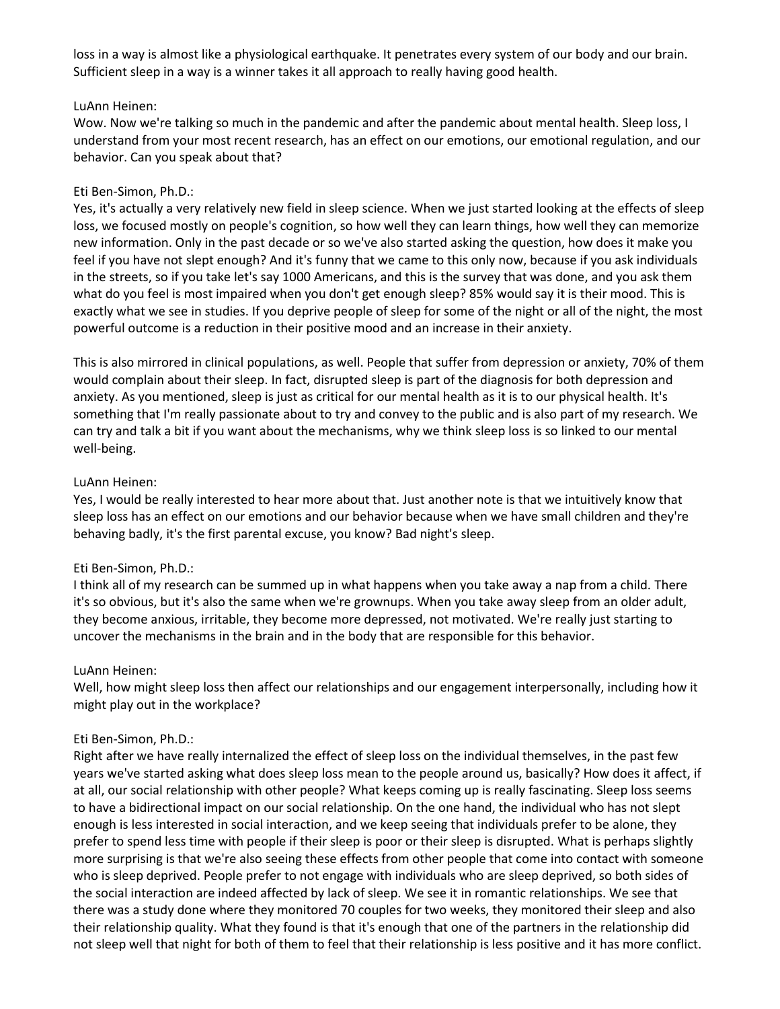loss in a way is almost like a physiological earthquake. It penetrates every system of our body and our brain. Sufficient sleep in a way is a winner takes it all approach to really having good health.

### LuAnn Heinen:

Wow. Now we're talking so much in the pandemic and after the pandemic about mental health. Sleep loss, I understand from your most recent research, has an effect on our emotions, our emotional regulation, and our behavior. Can you speak about that?

### Eti Ben-Simon, Ph.D.:

Yes, it's actually a very relatively new field in sleep science. When we just started looking at the effects of sleep loss, we focused mostly on people's cognition, so how well they can learn things, how well they can memorize new information. Only in the past decade or so we've also started asking the question, how does it make you feel if you have not slept enough? And it's funny that we came to this only now, because if you ask individuals in the streets, so if you take let's say 1000 Americans, and this is the survey that was done, and you ask them what do you feel is most impaired when you don't get enough sleep? 85% would say it is their mood. This is exactly what we see in studies. If you deprive people of sleep for some of the night or all of the night, the most powerful outcome is a reduction in their positive mood and an increase in their anxiety.

This is also mirrored in clinical populations, as well. People that suffer from depression or anxiety, 70% of them would complain about their sleep. In fact, disrupted sleep is part of the diagnosis for both depression and anxiety. As you mentioned, sleep is just as critical for our mental health as it is to our physical health. It's something that I'm really passionate about to try and convey to the public and is also part of my research. We can try and talk a bit if you want about the mechanisms, why we think sleep loss is so linked to our mental well-being.

### LuAnn Heinen:

Yes, I would be really interested to hear more about that. Just another note is that we intuitively know that sleep loss has an effect on our emotions and our behavior because when we have small children and they're behaving badly, it's the first parental excuse, you know? Bad night's sleep.

### Eti Ben-Simon, Ph.D.:

I think all of my research can be summed up in what happens when you take away a nap from a child. There it's so obvious, but it's also the same when we're grownups. When you take away sleep from an older adult, they become anxious, irritable, they become more depressed, not motivated. We're really just starting to uncover the mechanisms in the brain and in the body that are responsible for this behavior.

### LuAnn Heinen:

Well, how might sleep loss then affect our relationships and our engagement interpersonally, including how it might play out in the workplace?

### Eti Ben-Simon, Ph.D.:

Right after we have really internalized the effect of sleep loss on the individual themselves, in the past few years we've started asking what does sleep loss mean to the people around us, basically? How does it affect, if at all, our social relationship with other people? What keeps coming up is really fascinating. Sleep loss seems to have a bidirectional impact on our social relationship. On the one hand, the individual who has not slept enough is less interested in social interaction, and we keep seeing that individuals prefer to be alone, they prefer to spend less time with people if their sleep is poor or their sleep is disrupted. What is perhaps slightly more surprising is that we're also seeing these effects from other people that come into contact with someone who is sleep deprived. People prefer to not engage with individuals who are sleep deprived, so both sides of the social interaction are indeed affected by lack of sleep. We see it in romantic relationships. We see that there was a study done where they monitored 70 couples for two weeks, they monitored their sleep and also their relationship quality. What they found is that it's enough that one of the partners in the relationship did not sleep well that night for both of them to feel that their relationship is less positive and it has more conflict.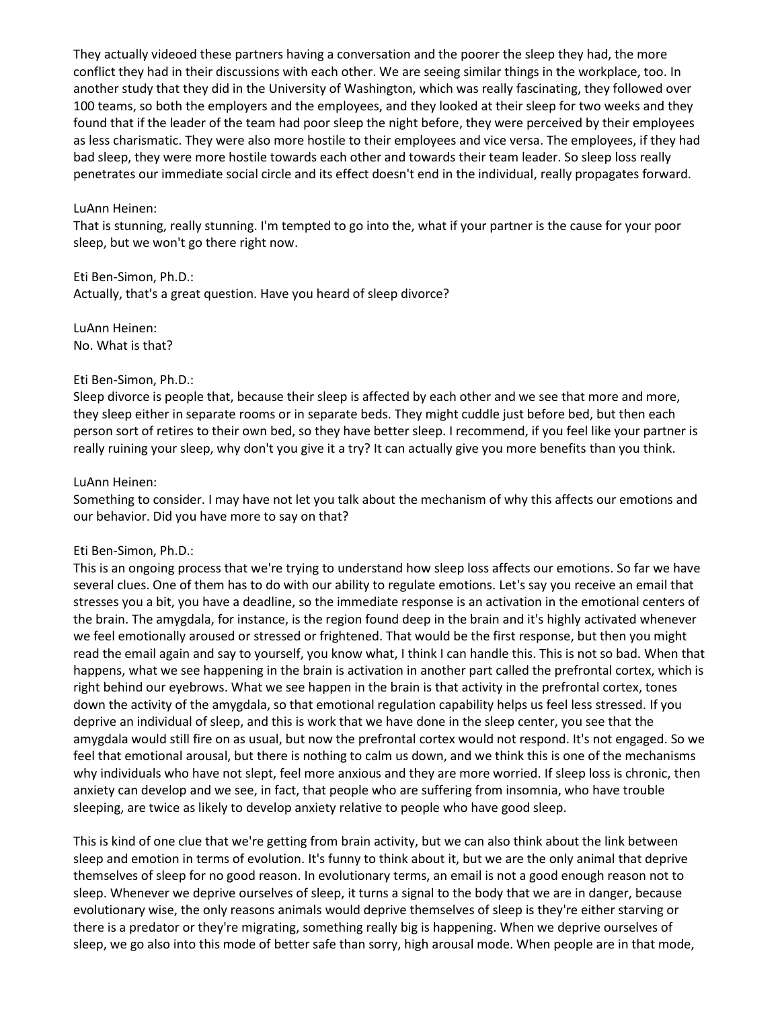They actually videoed these partners having a conversation and the poorer the sleep they had, the more conflict they had in their discussions with each other. We are seeing similar things in the workplace, too. In another study that they did in the University of Washington, which was really fascinating, they followed over 100 teams, so both the employers and the employees, and they looked at their sleep for two weeks and they found that if the leader of the team had poor sleep the night before, they were perceived by their employees as less charismatic. They were also more hostile to their employees and vice versa. The employees, if they had bad sleep, they were more hostile towards each other and towards their team leader. So sleep loss really penetrates our immediate social circle and its effect doesn't end in the individual, really propagates forward.

#### LuAnn Heinen:

That is stunning, really stunning. I'm tempted to go into the, what if your partner is the cause for your poor sleep, but we won't go there right now.

Eti Ben-Simon, Ph.D.: Actually, that's a great question. Have you heard of sleep divorce?

LuAnn Heinen: No. What is that?

#### Eti Ben-Simon, Ph.D.:

Sleep divorce is people that, because their sleep is affected by each other and we see that more and more, they sleep either in separate rooms or in separate beds. They might cuddle just before bed, but then each person sort of retires to their own bed, so they have better sleep. I recommend, if you feel like your partner is really ruining your sleep, why don't you give it a try? It can actually give you more benefits than you think.

#### LuAnn Heinen:

Something to consider. I may have not let you talk about the mechanism of why this affects our emotions and our behavior. Did you have more to say on that?

### Eti Ben-Simon, Ph.D.:

This is an ongoing process that we're trying to understand how sleep loss affects our emotions. So far we have several clues. One of them has to do with our ability to regulate emotions. Let's say you receive an email that stresses you a bit, you have a deadline, so the immediate response is an activation in the emotional centers of the brain. The amygdala, for instance, is the region found deep in the brain and it's highly activated whenever we feel emotionally aroused or stressed or frightened. That would be the first response, but then you might read the email again and say to yourself, you know what, I think I can handle this. This is not so bad. When that happens, what we see happening in the brain is activation in another part called the prefrontal cortex, which is right behind our eyebrows. What we see happen in the brain is that activity in the prefrontal cortex, tones down the activity of the amygdala, so that emotional regulation capability helps us feel less stressed. If you deprive an individual of sleep, and this is work that we have done in the sleep center, you see that the amygdala would still fire on as usual, but now the prefrontal cortex would not respond. It's not engaged. So we feel that emotional arousal, but there is nothing to calm us down, and we think this is one of the mechanisms why individuals who have not slept, feel more anxious and they are more worried. If sleep loss is chronic, then anxiety can develop and we see, in fact, that people who are suffering from insomnia, who have trouble sleeping, are twice as likely to develop anxiety relative to people who have good sleep.

This is kind of one clue that we're getting from brain activity, but we can also think about the link between sleep and emotion in terms of evolution. It's funny to think about it, but we are the only animal that deprive themselves of sleep for no good reason. In evolutionary terms, an email is not a good enough reason not to sleep. Whenever we deprive ourselves of sleep, it turns a signal to the body that we are in danger, because evolutionary wise, the only reasons animals would deprive themselves of sleep is they're either starving or there is a predator or they're migrating, something really big is happening. When we deprive ourselves of sleep, we go also into this mode of better safe than sorry, high arousal mode. When people are in that mode,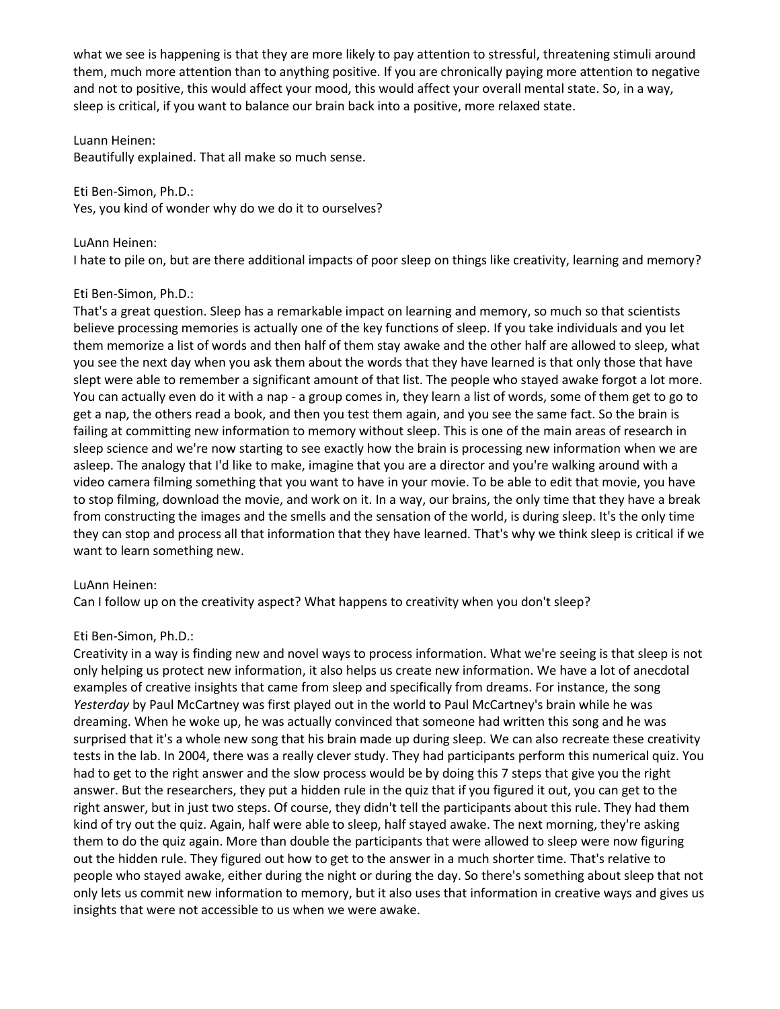what we see is happening is that they are more likely to pay attention to stressful, threatening stimuli around them, much more attention than to anything positive. If you are chronically paying more attention to negative and not to positive, this would affect your mood, this would affect your overall mental state. So, in a way, sleep is critical, if you want to balance our brain back into a positive, more relaxed state.

### Luann Heinen:

Beautifully explained. That all make so much sense.

Eti Ben-Simon, Ph.D.: Yes, you kind of wonder why do we do it to ourselves?

#### LuAnn Heinen:

I hate to pile on, but are there additional impacts of poor sleep on things like creativity, learning and memory?

### Eti Ben-Simon, Ph.D.:

That's a great question. Sleep has a remarkable impact on learning and memory, so much so that scientists believe processing memories is actually one of the key functions of sleep. If you take individuals and you let them memorize a list of words and then half of them stay awake and the other half are allowed to sleep, what you see the next day when you ask them about the words that they have learned is that only those that have slept were able to remember a significant amount of that list. The people who stayed awake forgot a lot more. You can actually even do it with a nap - a group comes in, they learn a list of words, some of them get to go to get a nap, the others read a book, and then you test them again, and you see the same fact. So the brain is failing at committing new information to memory without sleep. This is one of the main areas of research in sleep science and we're now starting to see exactly how the brain is processing new information when we are asleep. The analogy that I'd like to make, imagine that you are a director and you're walking around with a video camera filming something that you want to have in your movie. To be able to edit that movie, you have to stop filming, download the movie, and work on it. In a way, our brains, the only time that they have a break from constructing the images and the smells and the sensation of the world, is during sleep. It's the only time they can stop and process all that information that they have learned. That's why we think sleep is critical if we want to learn something new.

### LuAnn Heinen:

Can I follow up on the creativity aspect? What happens to creativity when you don't sleep?

### Eti Ben-Simon, Ph.D.:

Creativity in a way is finding new and novel ways to process information. What we're seeing is that sleep is not only helping us protect new information, it also helps us create new information. We have a lot of anecdotal examples of creative insights that came from sleep and specifically from dreams. For instance, the song *Yesterday* by Paul McCartney was first played out in the world to Paul McCartney's brain while he was dreaming. When he woke up, he was actually convinced that someone had written this song and he was surprised that it's a whole new song that his brain made up during sleep. We can also recreate these creativity tests in the lab. In 2004, there was a really clever study. They had participants perform this numerical quiz. You had to get to the right answer and the slow process would be by doing this 7 steps that give you the right answer. But the researchers, they put a hidden rule in the quiz that if you figured it out, you can get to the right answer, but in just two steps. Of course, they didn't tell the participants about this rule. They had them kind of try out the quiz. Again, half were able to sleep, half stayed awake. The next morning, they're asking them to do the quiz again. More than double the participants that were allowed to sleep were now figuring out the hidden rule. They figured out how to get to the answer in a much shorter time. That's relative to people who stayed awake, either during the night or during the day. So there's something about sleep that not only lets us commit new information to memory, but it also uses that information in creative ways and gives us insights that were not accessible to us when we were awake.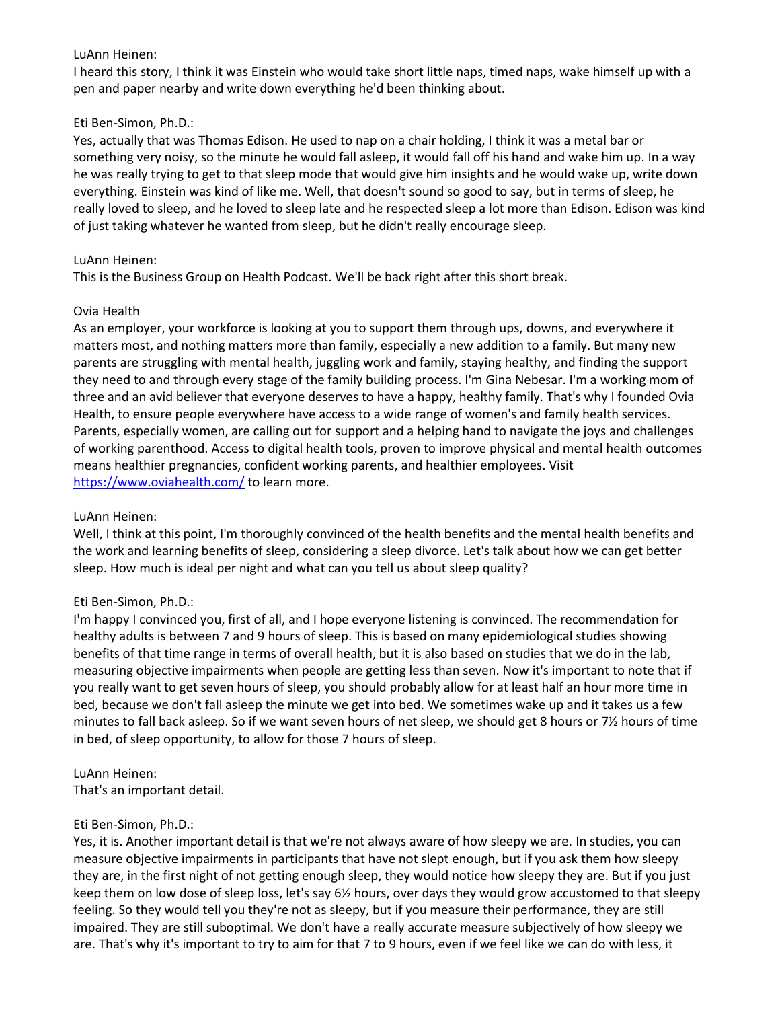### LuAnn Heinen:

I heard this story, I think it was Einstein who would take short little naps, timed naps, wake himself up with a pen and paper nearby and write down everything he'd been thinking about.

### Eti Ben-Simon, Ph.D.:

Yes, actually that was Thomas Edison. He used to nap on a chair holding, I think it was a metal bar or something very noisy, so the minute he would fall asleep, it would fall off his hand and wake him up. In a way he was really trying to get to that sleep mode that would give him insights and he would wake up, write down everything. Einstein was kind of like me. Well, that doesn't sound so good to say, but in terms of sleep, he really loved to sleep, and he loved to sleep late and he respected sleep a lot more than Edison. Edison was kind of just taking whatever he wanted from sleep, but he didn't really encourage sleep.

### LuAnn Heinen:

This is the Business Group on Health Podcast. We'll be back right after this short break.

### Ovia Health

As an employer, your workforce is looking at you to support them through ups, downs, and everywhere it matters most, and nothing matters more than family, especially a new addition to a family. But many new parents are struggling with mental health, juggling work and family, staying healthy, and finding the support they need to and through every stage of the family building process. I'm Gina Nebesar. I'm a working mom of three and an avid believer that everyone deserves to have a happy, healthy family. That's why I founded Ovia Health, to ensure people everywhere have access to a wide range of women's and family health services. Parents, especially women, are calling out for support and a helping hand to navigate the joys and challenges of working parenthood. Access to digital health tools, proven to improve physical and mental health outcomes means healthier pregnancies, confident working parents, and healthier employees. Visit <https://www.oviahealth.com/> to learn more.

# LuAnn Heinen:

Well, I think at this point, I'm thoroughly convinced of the health benefits and the mental health benefits and the work and learning benefits of sleep, considering a sleep divorce. Let's talk about how we can get better sleep. How much is ideal per night and what can you tell us about sleep quality?

# Eti Ben-Simon, Ph.D.:

I'm happy I convinced you, first of all, and I hope everyone listening is convinced. The recommendation for healthy adults is between 7 and 9 hours of sleep. This is based on many epidemiological studies showing benefits of that time range in terms of overall health, but it is also based on studies that we do in the lab, measuring objective impairments when people are getting less than seven. Now it's important to note that if you really want to get seven hours of sleep, you should probably allow for at least half an hour more time in bed, because we don't fall asleep the minute we get into bed. We sometimes wake up and it takes us a few minutes to fall back asleep. So if we want seven hours of net sleep, we should get 8 hours or 7½ hours of time in bed, of sleep opportunity, to allow for those 7 hours of sleep.

LuAnn Heinen: That's an important detail.

### Eti Ben-Simon, Ph.D.:

Yes, it is. Another important detail is that we're not always aware of how sleepy we are. In studies, you can measure objective impairments in participants that have not slept enough, but if you ask them how sleepy they are, in the first night of not getting enough sleep, they would notice how sleepy they are. But if you just keep them on low dose of sleep loss, let's say 6½ hours, over days they would grow accustomed to that sleepy feeling. So they would tell you they're not as sleepy, but if you measure their performance, they are still impaired. They are still suboptimal. We don't have a really accurate measure subjectively of how sleepy we are. That's why it's important to try to aim for that 7 to 9 hours, even if we feel like we can do with less, it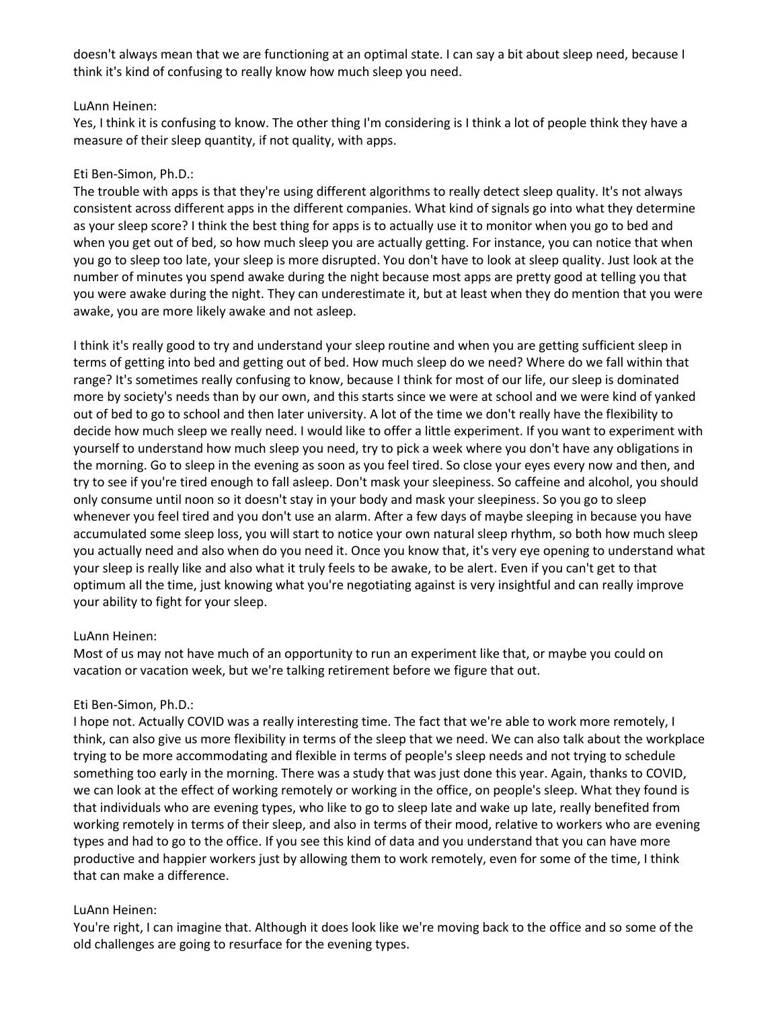doesn't always mean that we are functioning at an optimal state. I can say a bit about sleep need, because I think it's kind of confusing to really know how much sleep you need.

### LuAnn Heinen:

Yes, I think it is confusing to know. The other thing I'm considering is I think a lot of people think they have a measure of their sleep quantity, if not quality, with apps.

### Eti Ben-Simon, Ph.D.:

The trouble with apps is that they're using different algorithms to really detect sleep quality. It's not always consistent across different apps in the different companies. What kind of signals go into what they determine as your sleep score? I think the best thing for apps is to actually use it to monitor when you go to bed and when you get out of bed, so how much sleep you are actually getting. For instance, you can notice that when you go to sleep too late, your sleep is more disrupted. You don't have to look at sleep quality. Just look at the number of minutes you spend awake during the night because most apps are pretty good at telling you that you were awake during the night. They can underestimate it, but at least when they do mention that you were awake, you are more likely awake and not asleep.

I think it's really good to try and understand your sleep routine and when you are getting sufficient sleep in terms of getting into bed and getting out of bed. How much sleep do we need? Where do we fall within that range? It's sometimes really confusing to know, because I think for most of our life, our sleep is dominated more by society's needs than by our own, and this starts since we were at school and we were kind of yanked out of bed to go to school and then later university. A lot of the time we don't really have the flexibility to decide how much sleep we really need. I would like to offer a little experiment. If you want to experiment with yourself to understand how much sleep you need, try to pick a week where you don't have any obligations in the morning. Go to sleep in the evening as soon as you feel tired. So close your eyes every now and then, and try to see if you're tired enough to fall asleep. Don't mask your sleepiness. So caffeine and alcohol, you should only consume until noon so it doesn't stay in your body and mask your sleepiness. So you go to sleep whenever you feel tired and you don't use an alarm. After a few days of maybe sleeping in because you have accumulated some sleep loss, you will start to notice your own natural sleep rhythm, so both how much sleep you actually need and also when do you need it. Once you know that, it's very eye opening to understand what your sleep is really like and also what it truly feels to be awake, to be alert. Even if you can't get to that optimum all the time, just knowing what you're negotiating against is very insightful and can really improve your ability to fight for your sleep.

### LuAnn Heinen:

Most of us may not have much of an opportunity to run an experiment like that, or maybe you could on vacation or vacation week, but we're talking retirement before we figure that out.

# Eti Ben-Simon, Ph.D.:

I hope not. Actually COVID was a really interesting time. The fact that we're able to work more remotely, I think, can also give us more flexibility in terms of the sleep that we need. We can also talk about the workplace trying to be more accommodating and flexible in terms of people's sleep needs and not trying to schedule something too early in the morning. There was a study that was just done this year. Again, thanks to COVID, we can look at the effect of working remotely or working in the office, on people's sleep. What they found is that individuals who are evening types, who like to go to sleep late and wake up late, really benefited from working remotely in terms of their sleep, and also in terms of their mood, relative to workers who are evening types and had to go to the office. If you see this kind of data and you understand that you can have more productive and happier workers just by allowing them to work remotely, even for some of the time, I think that can make a difference.

# LuAnn Heinen:

You're right, I can imagine that. Although it does look like we're moving back to the office and so some of the old challenges are going to resurface for the evening types.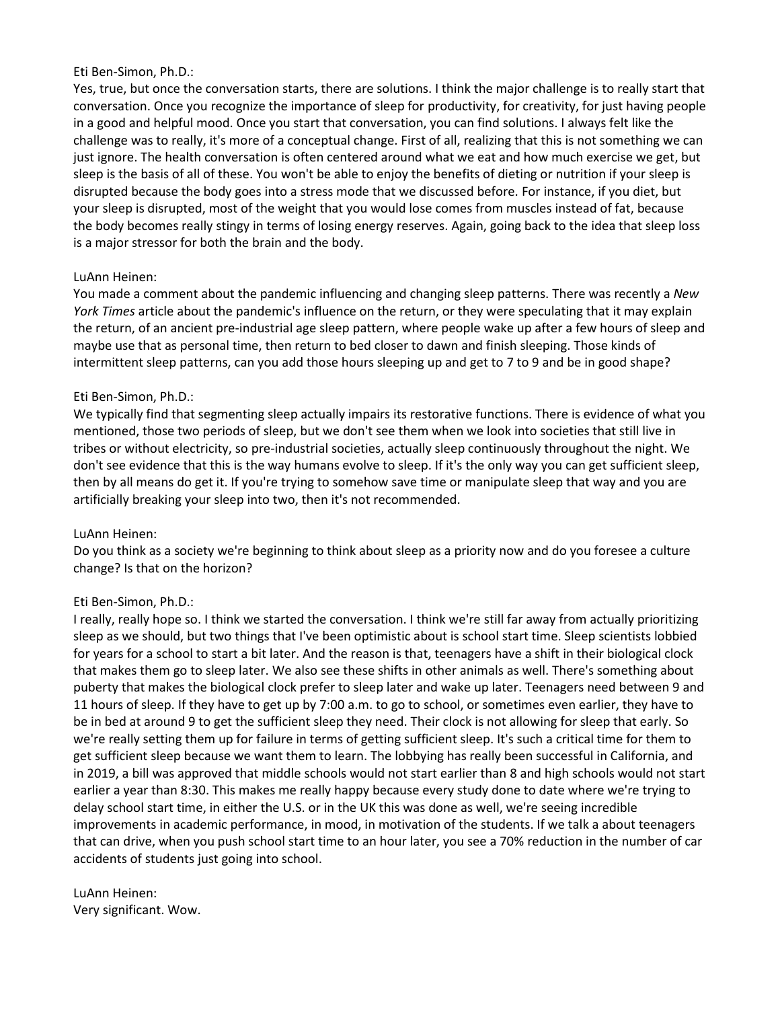#### Eti Ben-Simon, Ph.D.:

Yes, true, but once the conversation starts, there are solutions. I think the major challenge is to really start that conversation. Once you recognize the importance of sleep for productivity, for creativity, for just having people in a good and helpful mood. Once you start that conversation, you can find solutions. I always felt like the challenge was to really, it's more of a conceptual change. First of all, realizing that this is not something we can just ignore. The health conversation is often centered around what we eat and how much exercise we get, but sleep is the basis of all of these. You won't be able to enjoy the benefits of dieting or nutrition if your sleep is disrupted because the body goes into a stress mode that we discussed before. For instance, if you diet, but your sleep is disrupted, most of the weight that you would lose comes from muscles instead of fat, because the body becomes really stingy in terms of losing energy reserves. Again, going back to the idea that sleep loss is a major stressor for both the brain and the body.

### LuAnn Heinen:

You made a comment about the pandemic influencing and changing sleep patterns. There was recently a *New York Times* article about the pandemic's influence on the return, or they were speculating that it may explain the return, of an ancient pre-industrial age sleep pattern, where people wake up after a few hours of sleep and maybe use that as personal time, then return to bed closer to dawn and finish sleeping. Those kinds of intermittent sleep patterns, can you add those hours sleeping up and get to 7 to 9 and be in good shape?

### Eti Ben-Simon, Ph.D.:

We typically find that segmenting sleep actually impairs its restorative functions. There is evidence of what you mentioned, those two periods of sleep, but we don't see them when we look into societies that still live in tribes or without electricity, so pre-industrial societies, actually sleep continuously throughout the night. We don't see evidence that this is the way humans evolve to sleep. If it's the only way you can get sufficient sleep, then by all means do get it. If you're trying to somehow save time or manipulate sleep that way and you are artificially breaking your sleep into two, then it's not recommended.

### LuAnn Heinen:

Do you think as a society we're beginning to think about sleep as a priority now and do you foresee a culture change? Is that on the horizon?

### Eti Ben-Simon, Ph.D.:

I really, really hope so. I think we started the conversation. I think we're still far away from actually prioritizing sleep as we should, but two things that I've been optimistic about is school start time. Sleep scientists lobbied for years for a school to start a bit later. And the reason is that, teenagers have a shift in their biological clock that makes them go to sleep later. We also see these shifts in other animals as well. There's something about puberty that makes the biological clock prefer to sleep later and wake up later. Teenagers need between 9 and 11 hours of sleep. If they have to get up by 7:00 a.m. to go to school, or sometimes even earlier, they have to be in bed at around 9 to get the sufficient sleep they need. Their clock is not allowing for sleep that early. So we're really setting them up for failure in terms of getting sufficient sleep. It's such a critical time for them to get sufficient sleep because we want them to learn. The lobbying has really been successful in California, and in 2019, a bill was approved that middle schools would not start earlier than 8 and high schools would not start earlier a year than 8:30. This makes me really happy because every study done to date where we're trying to delay school start time, in either the U.S. or in the UK this was done as well, we're seeing incredible improvements in academic performance, in mood, in motivation of the students. If we talk a about teenagers that can drive, when you push school start time to an hour later, you see a 70% reduction in the number of car accidents of students just going into school.

### LuAnn Heinen: Very significant. Wow.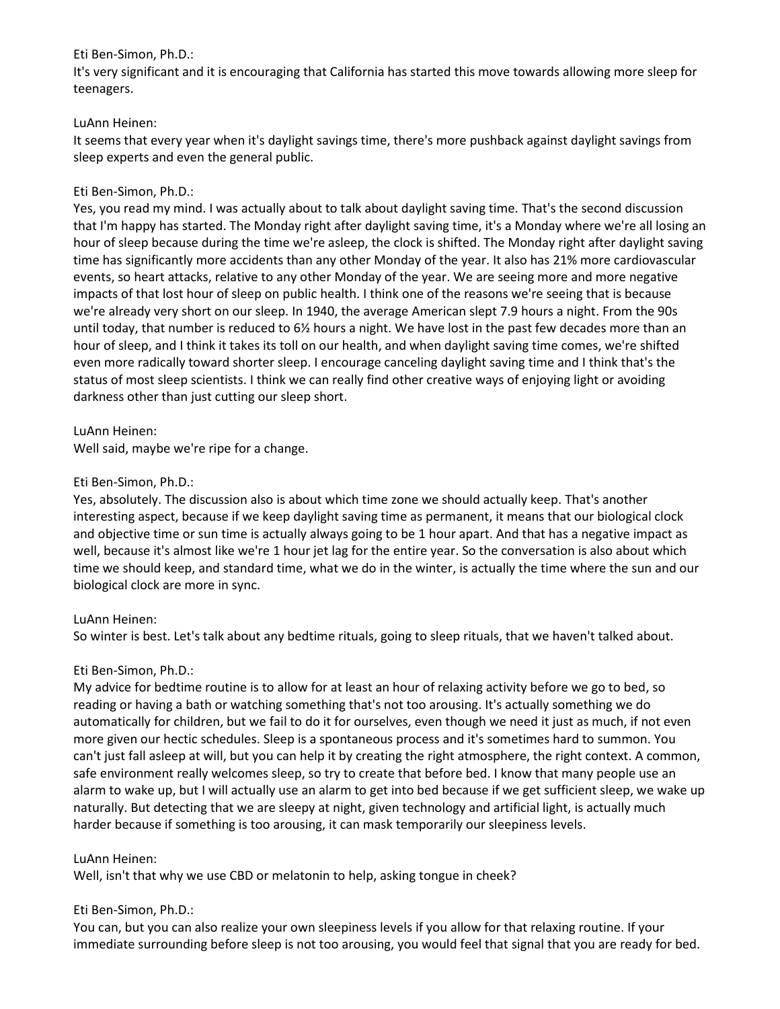### Eti Ben-Simon, Ph.D.:

It's very significant and it is encouraging that California has started this move towards allowing more sleep for teenagers.

# LuAnn Heinen:

It seems that every year when it's daylight savings time, there's more pushback against daylight savings from sleep experts and even the general public.

# Eti Ben-Simon, Ph.D.:

Yes, you read my mind. I was actually about to talk about daylight saving time. That's the second discussion that I'm happy has started. The Monday right after daylight saving time, it's a Monday where we're all losing an hour of sleep because during the time we're asleep, the clock is shifted. The Monday right after daylight saving time has significantly more accidents than any other Monday of the year. It also has 21% more cardiovascular events, so heart attacks, relative to any other Monday of the year. We are seeing more and more negative impacts of that lost hour of sleep on public health. I think one of the reasons we're seeing that is because we're already very short on our sleep. In 1940, the average American slept 7.9 hours a night. From the 90s until today, that number is reduced to 6½ hours a night. We have lost in the past few decades more than an hour of sleep, and I think it takes its toll on our health, and when daylight saving time comes, we're shifted even more radically toward shorter sleep. I encourage canceling daylight saving time and I think that's the status of most sleep scientists. I think we can really find other creative ways of enjoying light or avoiding darkness other than just cutting our sleep short.

# LuAnn Heinen:

Well said, maybe we're ripe for a change.

# Eti Ben-Simon, Ph.D.:

Yes, absolutely. The discussion also is about which time zone we should actually keep. That's another interesting aspect, because if we keep daylight saving time as permanent, it means that our biological clock and objective time or sun time is actually always going to be 1 hour apart. And that has a negative impact as well, because it's almost like we're 1 hour jet lag for the entire year. So the conversation is also about which time we should keep, and standard time, what we do in the winter, is actually the time where the sun and our biological clock are more in sync.

# LuAnn Heinen:

So winter is best. Let's talk about any bedtime rituals, going to sleep rituals, that we haven't talked about.

# Eti Ben-Simon, Ph.D.:

My advice for bedtime routine is to allow for at least an hour of relaxing activity before we go to bed, so reading or having a bath or watching something that's not too arousing. It's actually something we do automatically for children, but we fail to do it for ourselves, even though we need it just as much, if not even more given our hectic schedules. Sleep is a spontaneous process and it's sometimes hard to summon. You can't just fall asleep at will, but you can help it by creating the right atmosphere, the right context. A common, safe environment really welcomes sleep, so try to create that before bed. I know that many people use an alarm to wake up, but I will actually use an alarm to get into bed because if we get sufficient sleep, we wake up naturally. But detecting that we are sleepy at night, given technology and artificial light, is actually much harder because if something is too arousing, it can mask temporarily our sleepiness levels.

# LuAnn Heinen:

Well, isn't that why we use CBD or melatonin to help, asking tongue in cheek?

# Eti Ben-Simon, Ph.D.:

You can, but you can also realize your own sleepiness levels if you allow for that relaxing routine. If your immediate surrounding before sleep is not too arousing, you would feel that signal that you are ready for bed.